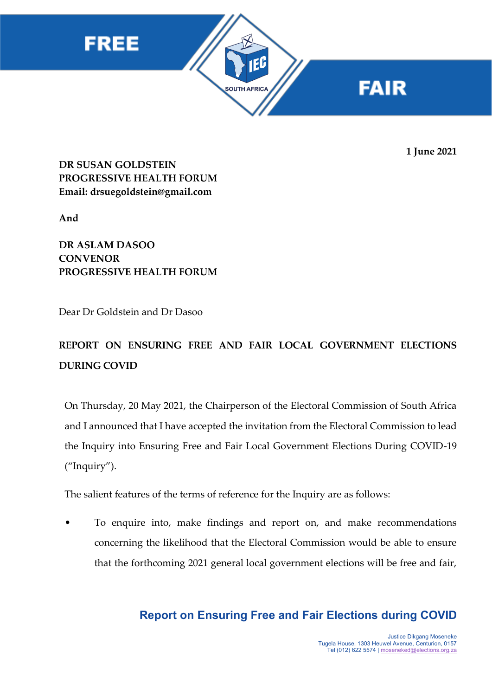





**1 June 2021**

**DR SUSAN GOLDSTEIN PROGRESSIVE HEALTH FORUM Email: drsuegoldstein@gmail.com**

**And**

**DR ASLAM DASOO CONVENOR PROGRESSIVE HEALTH FORUM**

Dear Dr Goldstein and Dr Dasoo

# **REPORT ON ENSURING FREE AND FAIR LOCAL GOVERNMENT ELECTIONS DURING COVID**

On Thursday, 20 May 2021, the Chairperson of the Electoral Commission of South Africa and I announced that I have accepted the invitation from the Electoral Commission to lead the Inquiry into Ensuring Free and Fair Local Government Elections During COVID-19 ("Inquiry").

The salient features of the terms of reference for the Inquiry are as follows:

• To enquire into, make findings and report on, and make recommendations concerning the likelihood that the Electoral Commission would be able to ensure that the forthcoming 2021 general local government elections will be free and fair,

## **Report on Ensuring Free and Fair Elections during COVID**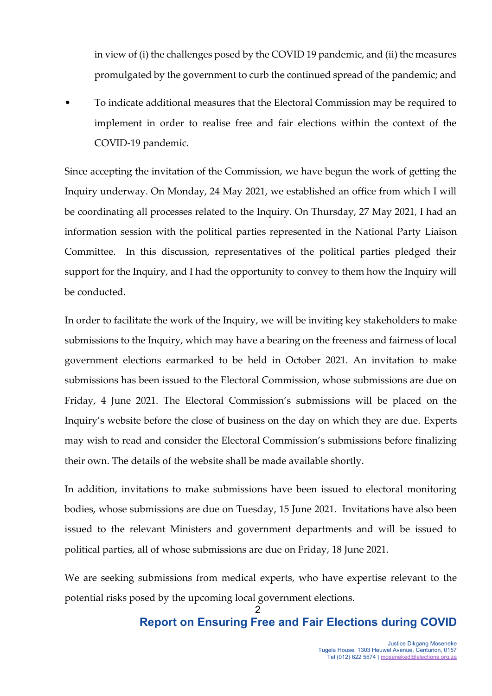in view of (i) the challenges posed by the COVID 19 pandemic, and (ii) the measures promulgated by the government to curb the continued spread of the pandemic; and

• To indicate additional measures that the Electoral Commission may be required to implement in order to realise free and fair elections within the context of the COVID-19 pandemic.

Since accepting the invitation of the Commission, we have begun the work of getting the Inquiry underway. On Monday, 24 May 2021, we established an office from which I will be coordinating all processes related to the Inquiry. On Thursday, 27 May 2021, I had an information session with the political parties represented in the National Party Liaison Committee. In this discussion, representatives of the political parties pledged their support for the Inquiry, and I had the opportunity to convey to them how the Inquiry will be conducted.

In order to facilitate the work of the Inquiry, we will be inviting key stakeholders to make submissions to the Inquiry, which may have a bearing on the freeness and fairness of local government elections earmarked to be held in October 2021. An invitation to make submissions has been issued to the Electoral Commission, whose submissions are due on Friday, 4 June 2021. The Electoral Commission's submissions will be placed on the Inquiry's website before the close of business on the day on which they are due. Experts may wish to read and consider the Electoral Commission's submissions before finalizing their own. The details of the website shall be made available shortly.

In addition, invitations to make submissions have been issued to electoral monitoring bodies, whose submissions are due on Tuesday, 15 June 2021. Invitations have also been issued to the relevant Ministers and government departments and will be issued to political parties, all of whose submissions are due on Friday, 18 June 2021.

We are seeking submissions from medical experts, who have expertise relevant to the potential risks posed by the upcoming local government elections.

### 2 **Report on Ensuring Free and Fair Elections during COVID**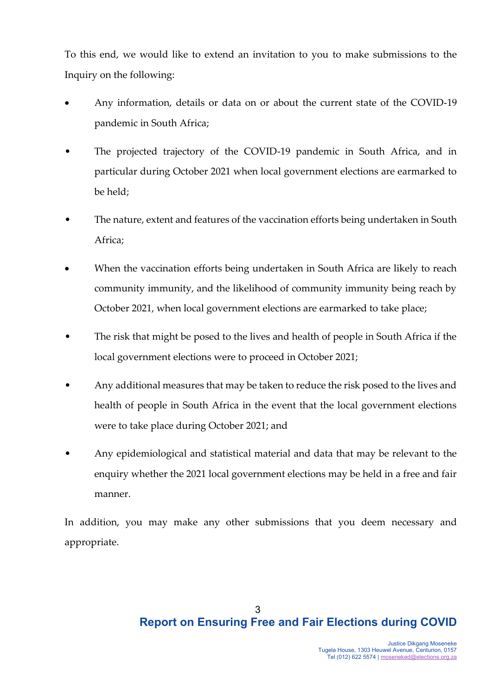To this end, we would like to extend an invitation to you to make submissions to the Inquiry on the following:

- Any information, details or data on or about the current state of the COVID-19 pandemic in South Africa;
- The projected trajectory of the COVID-19 pandemic in South Africa, and in particular during October 2021 when local government elections are earmarked to be held;
- The nature, extent and features of the vaccination efforts being undertaken in South Africa;
- When the vaccination efforts being undertaken in South Africa are likely to reach community immunity, and the likelihood of community immunity being reach by October 2021, when local government elections are earmarked to take place;
- The risk that might be posed to the lives and health of people in South Africa if the local government elections were to proceed in October 2021;
- Any additional measures that may be taken to reduce the risk posed to the lives and health of people in South Africa in the event that the local government elections were to take place during October 2021; and
- Any epidemiological and statistical material and data that may be relevant to the enquiry whether the 2021 local government elections may be held in a free and fair manner.

In addition, you may make any other submissions that you deem necessary and appropriate.

## 3 **Report on Ensuring Free and Fair Elections during COVID**